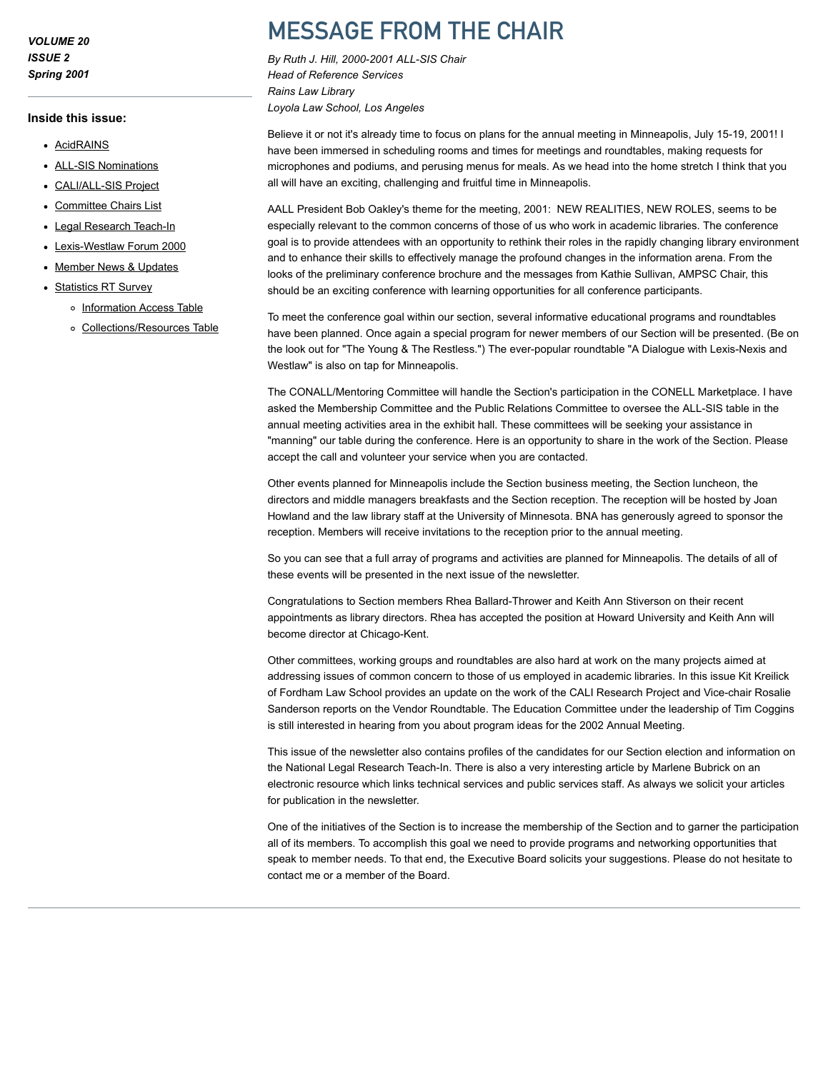VOLUME 20 ISSUE 2 Spring 2001

#### Inside this issue:

- [AcidRAINS](http://www.aallnet.org/gm-node/33636.aspx)
- [ALL-SIS Nominations](http://www.aallnet.org/gm-node/33643.aspx)
- [CALI/ALL-SIS Project](http://www.aallnet.org/gm-node/33637.aspx)
- [Committee Chairs List](http://www.aallnet.org/gm-node/33639.aspx)
- [Legal Research Teach-In](http://www.aallnet.org/gm-node/33645.aspx)
- [Lexis-Westlaw Forum 2000](http://www.aallnet.org/gm-node/33641.aspx)
- [Member News & Updates](http://www.aallnet.org/gm-node/33642.aspx)
- [Statistics RT Survey](http://www.aallnet.org/gm-node/33644.aspx)
	- o [Information Access Table](http://www.aallnet.org/gm-node/33640.aspx)
		- [Collections/Resources Table](http://www.aallnet.org/gm-node/33638.aspx)

# MESSAGE FROM THE CHAIR

By Ruth J. Hill, 2000-2001 ALL-SIS Chair Head of Reference Services Rains Law Library Loyola Law School, Los Angeles

Believe it or not it's already time to focus on plans for the annual meeting in Minneapolis, July 15-19, 2001! I have been immersed in scheduling rooms and times for meetings and roundtables, making requests for microphones and podiums, and perusing menus for meals. As we head into the home stretch I think that you all will have an exciting, challenging and fruitful time in Minneapolis.

AALL President Bob Oakley's theme for the meeting, 2001: NEW REALITIES, NEW ROLES, seems to be especially relevant to the common concerns of those of us who work in academic libraries. The conference goal is to provide attendees with an opportunity to rethink their roles in the rapidly changing library environment and to enhance their skills to effectively manage the profound changes in the information arena. From the looks of the preliminary conference brochure and the messages from Kathie Sullivan, AMPSC Chair, this should be an exciting conference with learning opportunities for all conference participants.

To meet the conference goal within our section, several informative educational programs and roundtables have been planned. Once again a special program for newer members of our Section will be presented. (Be on the look out for "The Young & The Restless.") The ever-popular roundtable "A Dialogue with Lexis-Nexis and Westlaw" is also on tap for Minneapolis.

The CONALL/Mentoring Committee will handle the Section's participation in the CONELL Marketplace. I have asked the Membership Committee and the Public Relations Committee to oversee the ALL-SIS table in the annual meeting activities area in the exhibit hall. These committees will be seeking your assistance in "manning" our table during the conference. Here is an opportunity to share in the work of the Section. Please accept the call and volunteer your service when you are contacted.

Other events planned for Minneapolis include the Section business meeting, the Section luncheon, the directors and middle managers breakfasts and the Section reception. The reception will be hosted by Joan Howland and the law library staff at the University of Minnesota. BNA has generously agreed to sponsor the reception. Members will receive invitations to the reception prior to the annual meeting.

So you can see that a full array of programs and activities are planned for Minneapolis. The details of all of these events will be presented in the next issue of the newsletter.

Congratulations to Section members Rhea Ballard-Thrower and Keith Ann Stiverson on their recent appointments as library directors. Rhea has accepted the position at Howard University and Keith Ann will become director at Chicago-Kent.

Other committees, working groups and roundtables are also hard at work on the many projects aimed at addressing issues of common concern to those of us employed in academic libraries. In this issue Kit Kreilick of Fordham Law School provides an update on the work of the CALI Research Project and Vice-chair Rosalie Sanderson reports on the Vendor Roundtable. The Education Committee under the leadership of Tim Coggins is still interested in hearing from you about program ideas for the 2002 Annual Meeting.

This issue of the newsletter also contains profiles of the candidates for our Section election and information on the National Legal Research Teach-In. There is also a very interesting article by Marlene Bubrick on an electronic resource which links technical services and public services staff. As always we solicit your articles for publication in the newsletter.

One of the initiatives of the Section is to increase the membership of the Section and to garner the participation all of its members. To accomplish this goal we need to provide programs and networking opportunities that speak to member needs. To that end, the Executive Board solicits your suggestions. Please do not hesitate to contact me or a member of the Board.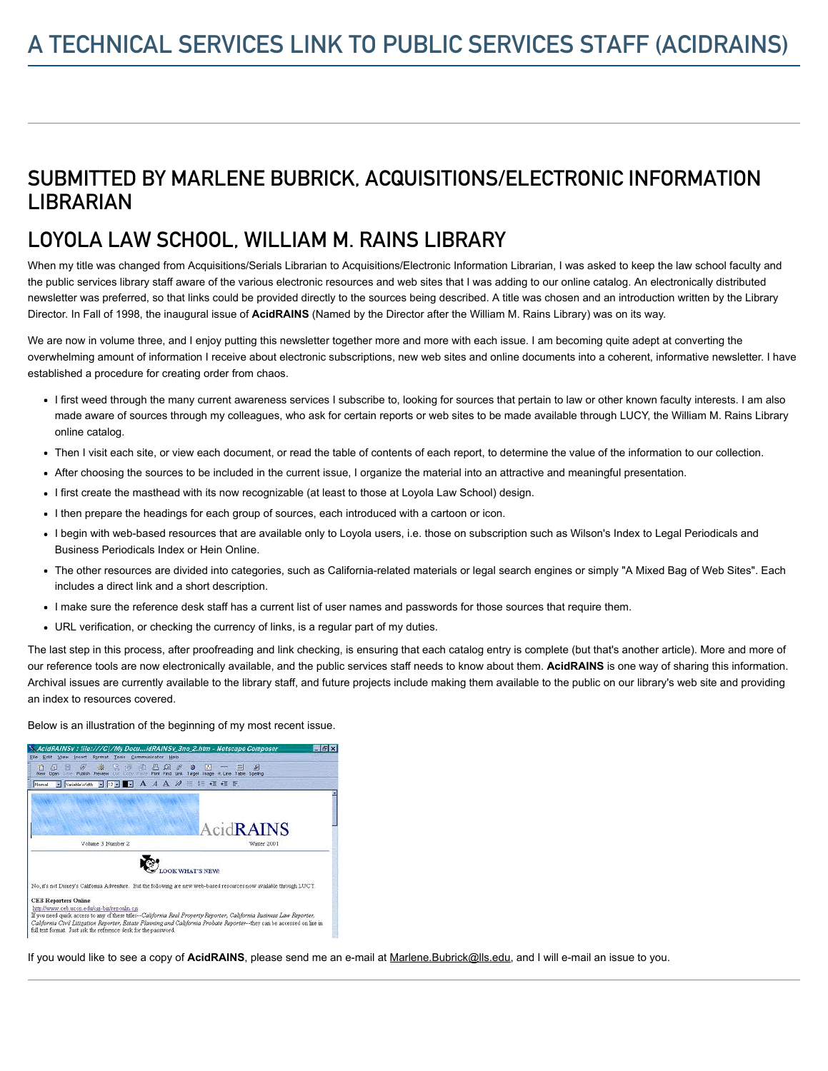## SUBMITTED BY MARLENE BUBRICK, ACQUISITIONS/ELECTRONIC INFORMATION **LIBRARIAN**

## LOYOLA LAW SCHOOL, WILLIAM M. RAINS LIBRARY

When my title was changed from Acquisitions/Serials Librarian to Acquisitions/Electronic Information Librarian, I was asked to keep the law school faculty and the public services library staff aware of the various electronic resources and web sites that I was adding to our online catalog. An electronically distributed newsletter was preferred, so that links could be provided directly to the sources being described. A title was chosen and an introduction written by the Library Director. In Fall of 1998, the inaugural issue of AcidRAINS (Named by the Director after the William M. Rains Library) was on its way.

We are now in volume three, and I enjoy putting this newsletter together more and more with each issue. I am becoming quite adept at converting the overwhelming amount of information I receive about electronic subscriptions, new web sites and online documents into a coherent, informative newsletter. I have established a procedure for creating order from chaos.

- I first weed through the many current awareness services I subscribe to, looking for sources that pertain to law or other known faculty interests. I am also made aware of sources through my colleagues, who ask for certain reports or web sites to be made available through LUCY, the William M. Rains Library online catalog.
- Then I visit each site, or view each document, or read the table of contents of each report, to determine the value of the information to our collection.
- After choosing the sources to be included in the current issue, I organize the material into an attractive and meaningful presentation.
- I first create the masthead with its now recognizable (at least to those at Loyola Law School) design.
- I then prepare the headings for each group of sources, each introduced with a cartoon or icon.
- I begin with web-based resources that are available only to Loyola users, i.e. those on subscription such as Wilson's Index to Legal Periodicals and Business Periodicals Index or Hein Online.
- The other resources are divided into categories, such as California-related materials or legal search engines or simply "A Mixed Bag of Web Sites". Each includes a direct link and a short description.
- I make sure the reference desk staff has a current list of user names and passwords for those sources that require them.
- URL verification, or checking the currency of links, is a regular part of my duties.

The last step in this process, after proofreading and link checking, is ensuring that each catalog entry is complete (but that's another article). More and more of our reference tools are now electronically available, and the public services staff needs to know about them. AcidRAINS is one way of sharing this information. Archival issues are currently available to the library staff, and future projects include making them available to the public on our library's web site and providing an index to resources covered.

Below is an illustration of the beginning of my most recent issue.

| AcidRAINSv : file:///C /My DocuidRAINSv_3no_2.htm - Netscape Composer<br>insert Format Tools Communicator Help<br>View / | $ F$ $x$                                                                                                                                                                                                                                          |
|--------------------------------------------------------------------------------------------------------------------------|---------------------------------------------------------------------------------------------------------------------------------------------------------------------------------------------------------------------------------------------------|
| 唼<br>嗾<br>147<br>岡<br>₩<br>A<br>n<br>Publish Preview<br>$T_{12}$<br><b>Conic</b>                                         | 冊<br>M<br>$\mathcal{R}^2$<br>ತಿ<br>m<br>ю<br>Parte Park Find Link Target Image H. Line Table Spelling                                                                                                                                             |
| Vaiable Widh<br>Nomal                                                                                                    | $\cdot$ 12 $\cdot$ A A A $M \n\mathbb{E}$ E $\mathbb{E}$ a E                                                                                                                                                                                      |
|                                                                                                                          |                                                                                                                                                                                                                                                   |
|                                                                                                                          |                                                                                                                                                                                                                                                   |
|                                                                                                                          |                                                                                                                                                                                                                                                   |
|                                                                                                                          | AcidRAINS                                                                                                                                                                                                                                         |
| Volume 3 Number 2                                                                                                        | Winter 2001                                                                                                                                                                                                                                       |
|                                                                                                                          |                                                                                                                                                                                                                                                   |
|                                                                                                                          | <b>OOK WHAT'S NEWS</b>                                                                                                                                                                                                                            |
|                                                                                                                          |                                                                                                                                                                                                                                                   |
|                                                                                                                          |                                                                                                                                                                                                                                                   |
|                                                                                                                          | No. it's not Disney's California Adventure. But the following are new web-based resources now available through LUCY.                                                                                                                             |
| <b>CEB Reporters Online</b>                                                                                              |                                                                                                                                                                                                                                                   |
| http://www.ceb.uccp.edu/csi-bin/reponin.csi                                                                              |                                                                                                                                                                                                                                                   |
|                                                                                                                          | If you need quick access to any of these titles -- California Real Property Reporter, California Business Law Reporter,<br>California Civil Litigation Reporter, Estate Planning and California Probate Reporter--they can be accessed on line in |

If you would like to see a copy of AcidRAINS, please send me an e-mail at [Marlene.Bubrick@lls.edu,](mailto:Marlene.Bubrick@lls.edu) and I will e-mail an issue to you.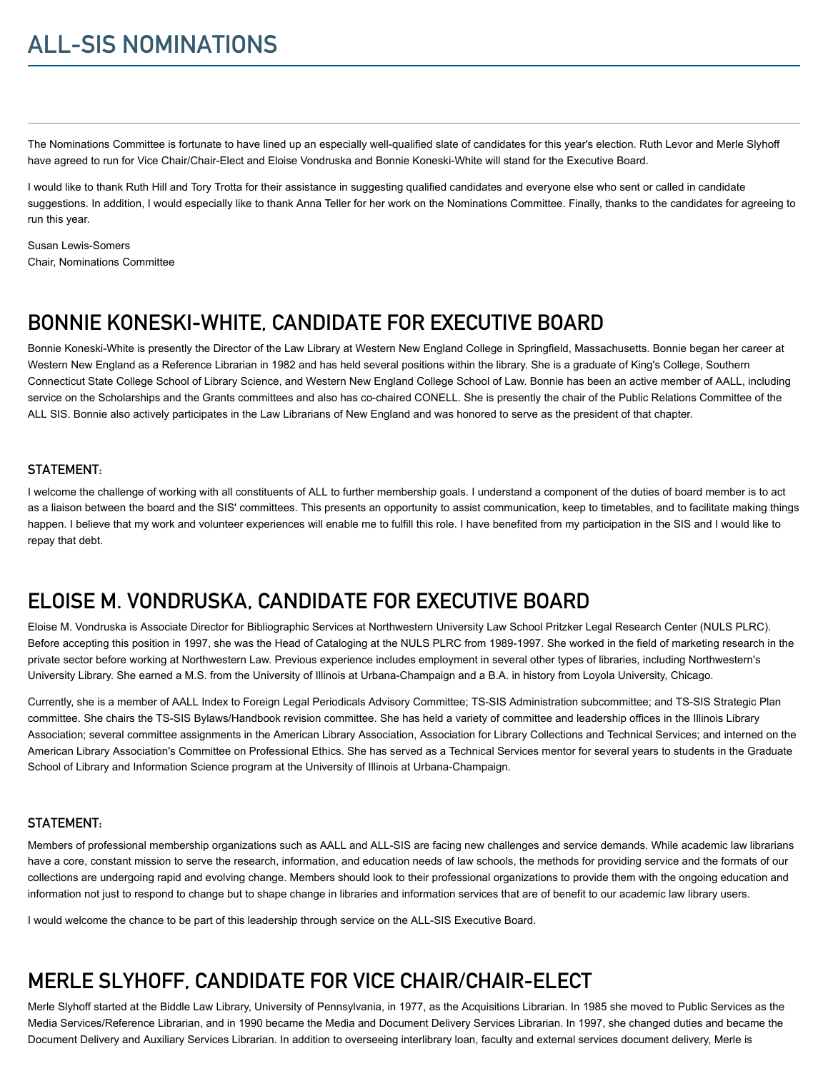The Nominations Committee is fortunate to have lined up an especially well-qualified slate of candidates for this year's election. Ruth Levor and Merle Slyhoff have agreed to run for Vice Chair/Chair-Elect and Eloise Vondruska and Bonnie Koneski-White will stand for the Executive Board.

I would like to thank Ruth Hill and Tory Trotta for their assistance in suggesting qualified candidates and everyone else who sent or called in candidate suggestions. In addition, I would especially like to thank Anna Teller for her work on the Nominations Committee. Finally, thanks to the candidates for agreeing to run this year.

Susan Lewis-Somers Chair, Nominations Committee

## BONNIE KONESKI-WHITE, CANDIDATE FOR EXECUTIVE BOARD

Bonnie Koneski-White is presently the Director of the Law Library at Western New England College in Springfield, Massachusetts. Bonnie began her career at Western New England as a Reference Librarian in 1982 and has held several positions within the library. She is a graduate of King's College, Southern Connecticut State College School of Library Science, and Western New England College School of Law. Bonnie has been an active member of AALL, including service on the Scholarships and the Grants committees and also has co-chaired CONELL. She is presently the chair of the Public Relations Committee of the ALL SIS. Bonnie also actively participates in the Law Librarians of New England and was honored to serve as the president of that chapter.

### STATEMENT:

I welcome the challenge of working with all constituents of ALL to further membership goals. I understand a component of the duties of board member is to act as a liaison between the board and the SIS' committees. This presents an opportunity to assist communication, keep to timetables, and to facilitate making things happen. I believe that my work and volunteer experiences will enable me to fulfill this role. I have benefited from my participation in the SIS and I would like to repay that debt.

## ELOISE M. VONDRUSKA, CANDIDATE FOR EXECUTIVE BOARD

Eloise M. Vondruska is Associate Director for Bibliographic Services at Northwestern University Law School Pritzker Legal Research Center (NULS PLRC). Before accepting this position in 1997, she was the Head of Cataloging at the NULS PLRC from 1989-1997. She worked in the field of marketing research in the private sector before working at Northwestern Law. Previous experience includes employment in several other types of libraries, including Northwestern's University Library. She earned a M.S. from the University of Illinois at Urbana-Champaign and a B.A. in history from Loyola University, Chicago.

Currently, she is a member of AALL Index to Foreign Legal Periodicals Advisory Committee; TS-SIS Administration subcommittee; and TS-SIS Strategic Plan committee. She chairs the TS-SIS Bylaws/Handbook revision committee. She has held a variety of committee and leadership offices in the Illinois Library Association; several committee assignments in the American Library Association, Association for Library Collections and Technical Services; and interned on the American Library Association's Committee on Professional Ethics. She has served as a Technical Services mentor for several years to students in the Graduate School of Library and Information Science program at the University of Illinois at Urbana-Champaign.

### STATEMENT:

Members of professional membership organizations such as AALL and ALL-SIS are facing new challenges and service demands. While academic law librarians have a core, constant mission to serve the research, information, and education needs of law schools, the methods for providing service and the formats of our collections are undergoing rapid and evolving change. Members should look to their professional organizations to provide them with the ongoing education and information not just to respond to change but to shape change in libraries and information services that are of benefit to our academic law library users.

I would welcome the chance to be part of this leadership through service on the ALL-SIS Executive Board.

# MERLE SLYHOFF, CANDIDATE FOR VICE CHAIR/CHAIR-ELECT

Merle Slyhoff started at the Biddle Law Library, University of Pennsylvania, in 1977, as the Acquisitions Librarian. In 1985 she moved to Public Services as the Media Services/Reference Librarian, and in 1990 became the Media and Document Delivery Services Librarian. In 1997, she changed duties and became the Document Delivery and Auxiliary Services Librarian. In addition to overseeing interlibrary loan, faculty and external services document delivery, Merle is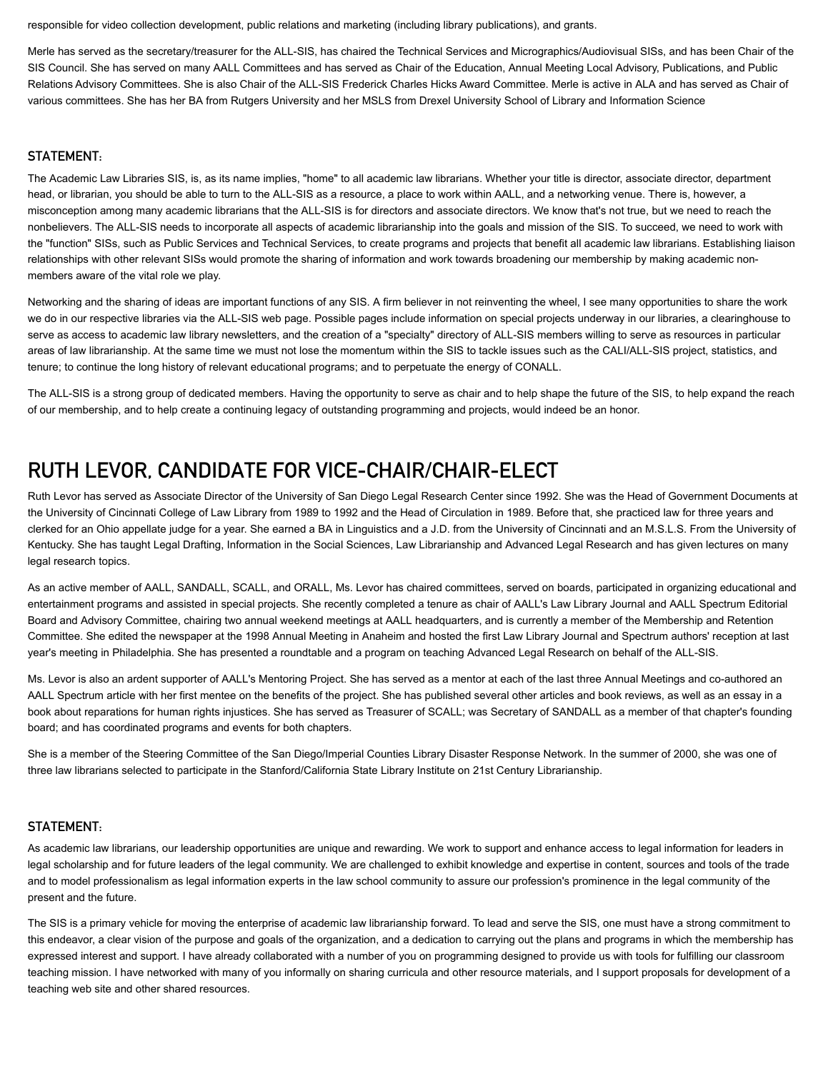responsible for video collection development, public relations and marketing (including library publications), and grants.

Merle has served as the secretary/treasurer for the ALL-SIS, has chaired the Technical Services and Micrographics/Audiovisual SISs, and has been Chair of the SIS Council. She has served on many AALL Committees and has served as Chair of the Education, Annual Meeting Local Advisory, Publications, and Public Relations Advisory Committees. She is also Chair of the ALL-SIS Frederick Charles Hicks Award Committee. Merle is active in ALA and has served as Chair of various committees. She has her BA from Rutgers University and her MSLS from Drexel University School of Library and Information Science

### STATEMENT:

The Academic Law Libraries SIS, is, as its name implies, "home" to all academic law librarians. Whether your title is director, associate director, department head, or librarian, you should be able to turn to the ALL-SIS as a resource, a place to work within AALL, and a networking venue. There is, however, a misconception among many academic librarians that the ALL-SIS is for directors and associate directors. We know that's not true, but we need to reach the nonbelievers. The ALL-SIS needs to incorporate all aspects of academic librarianship into the goals and mission of the SIS. To succeed, we need to work with the "function" SISs, such as Public Services and Technical Services, to create programs and projects that benefit all academic law librarians. Establishing liaison relationships with other relevant SISs would promote the sharing of information and work towards broadening our membership by making academic nonmembers aware of the vital role we play.

Networking and the sharing of ideas are important functions of any SIS. A firm believer in not reinventing the wheel, I see many opportunities to share the work we do in our respective libraries via the ALL-SIS web page. Possible pages include information on special projects underway in our libraries, a clearinghouse to serve as access to academic law library newsletters, and the creation of a "specialty" directory of ALL-SIS members willing to serve as resources in particular areas of law librarianship. At the same time we must not lose the momentum within the SIS to tackle issues such as the CALI/ALL-SIS project, statistics, and tenure; to continue the long history of relevant educational programs; and to perpetuate the energy of CONALL.

The ALL-SIS is a strong group of dedicated members. Having the opportunity to serve as chair and to help shape the future of the SIS, to help expand the reach of our membership, and to help create a continuing legacy of outstanding programming and projects, would indeed be an honor.

### RUTH LEVOR, CANDIDATE FOR VICE-CHAIR/CHAIR-ELECT

Ruth Levor has served as Associate Director of the University of San Diego Legal Research Center since 1992. She was the Head of Government Documents at the University of Cincinnati College of Law Library from 1989 to 1992 and the Head of Circulation in 1989. Before that, she practiced law for three years and clerked for an Ohio appellate judge for a year. She earned a BA in Linguistics and a J.D. from the University of Cincinnati and an M.S.L.S. From the University of Kentucky. She has taught Legal Drafting, Information in the Social Sciences, Law Librarianship and Advanced Legal Research and has given lectures on many legal research topics.

As an active member of AALL, SANDALL, SCALL, and ORALL, Ms. Levor has chaired committees, served on boards, participated in organizing educational and entertainment programs and assisted in special projects. She recently completed a tenure as chair of AALL's Law Library Journal and AALL Spectrum Editorial Board and Advisory Committee, chairing two annual weekend meetings at AALL headquarters, and is currently a member of the Membership and Retention Committee. She edited the newspaper at the 1998 Annual Meeting in Anaheim and hosted the first Law Library Journal and Spectrum authors' reception at last year's meeting in Philadelphia. She has presented a roundtable and a program on teaching Advanced Legal Research on behalf of the ALL-SIS.

Ms. Levor is also an ardent supporter of AALL's Mentoring Project. She has served as a mentor at each of the last three Annual Meetings and co-authored an AALL Spectrum article with her first mentee on the benefits of the project. She has published several other articles and book reviews, as well as an essay in a book about reparations for human rights injustices. She has served as Treasurer of SCALL; was Secretary of SANDALL as a member of that chapter's founding board; and has coordinated programs and events for both chapters.

She is a member of the Steering Committee of the San Diego/Imperial Counties Library Disaster Response Network. In the summer of 2000, she was one of three law librarians selected to participate in the Stanford/California State Library Institute on 21st Century Librarianship.

### STATEMENT:

As academic law librarians, our leadership opportunities are unique and rewarding. We work to support and enhance access to legal information for leaders in legal scholarship and for future leaders of the legal community. We are challenged to exhibit knowledge and expertise in content, sources and tools of the trade and to model professionalism as legal information experts in the law school community to assure our profession's prominence in the legal community of the present and the future.

The SIS is a primary vehicle for moving the enterprise of academic law librarianship forward. To lead and serve the SIS, one must have a strong commitment to this endeavor, a clear vision of the purpose and goals of the organization, and a dedication to carrying out the plans and programs in which the membership has expressed interest and support. I have already collaborated with a number of you on programming designed to provide us with tools for fulfilling our classroom teaching mission. I have networked with many of you informally on sharing curricula and other resource materials, and I support proposals for development of a teaching web site and other shared resources.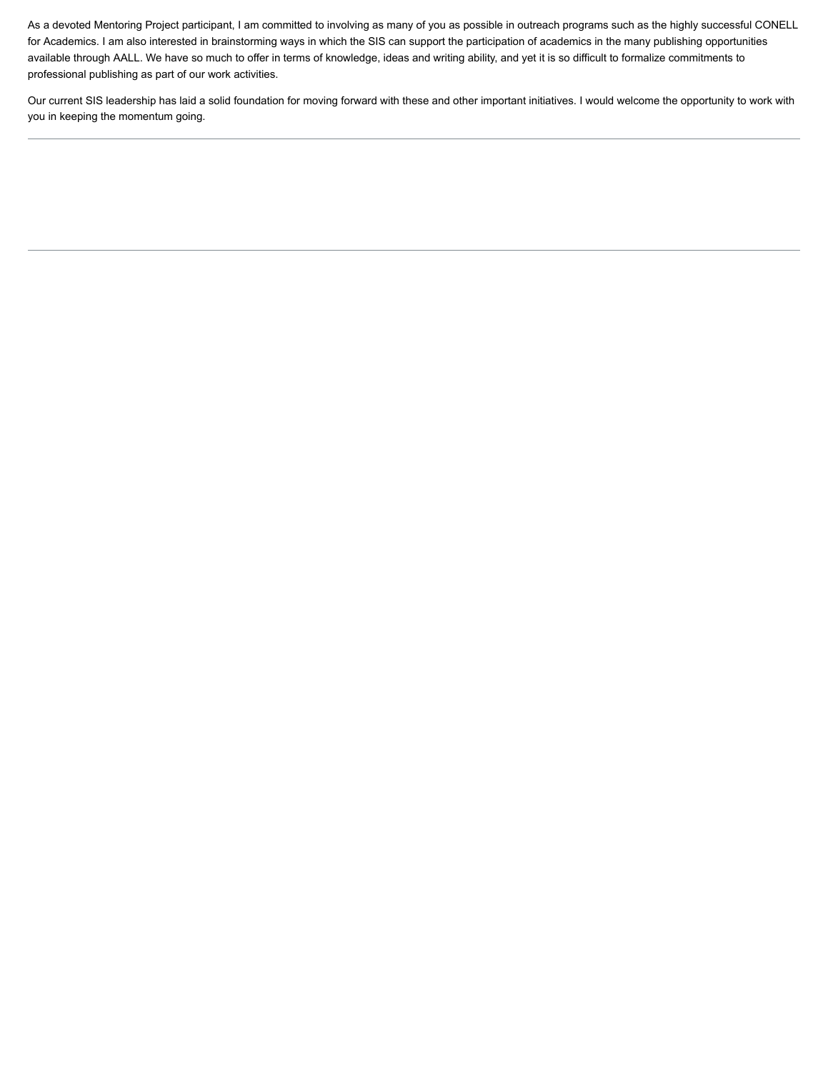As a devoted Mentoring Project participant, I am committed to involving as many of you as possible in outreach programs such as the highly successful CONELL for Academics. I am also interested in brainstorming ways in which the SIS can support the participation of academics in the many publishing opportunities available through AALL. We have so much to offer in terms of knowledge, ideas and writing ability, and yet it is so difficult to formalize commitments to professional publishing as part of our work activities.

Our current SIS leadership has laid a solid foundation for moving forward with these and other important initiatives. I would welcome the opportunity to work with you in keeping the momentum going.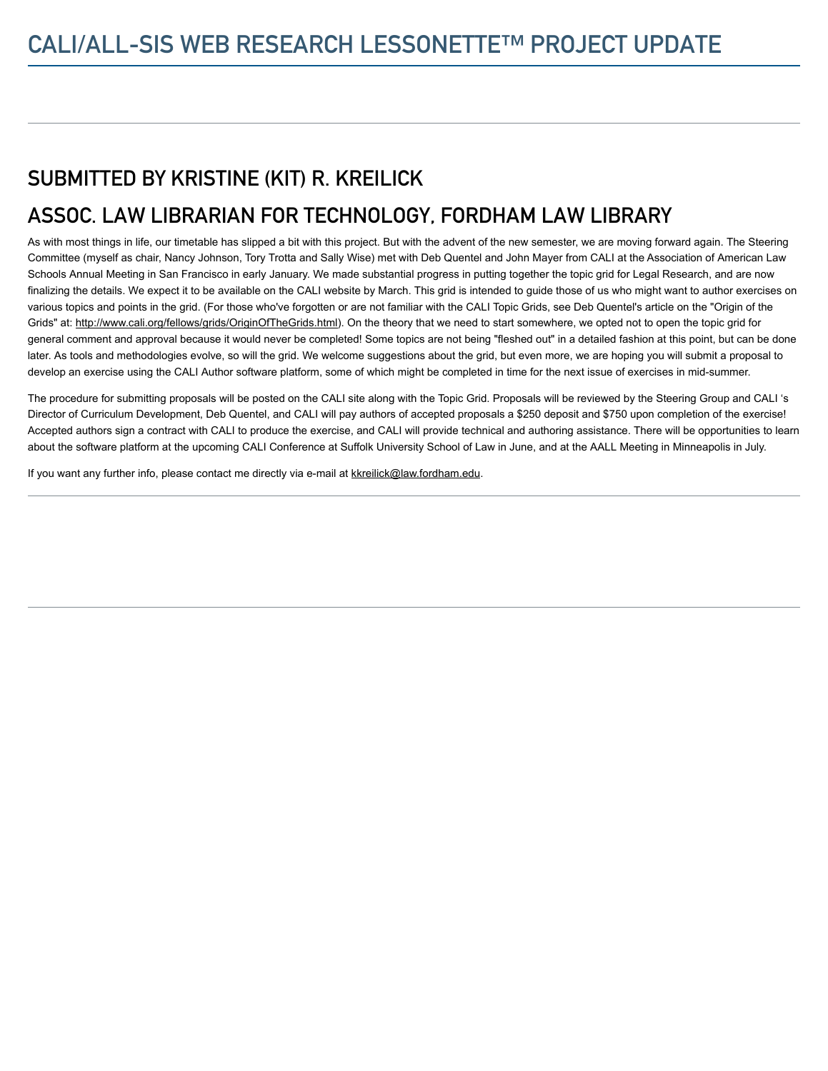# SUBMITTED BY KRISTINE (KIT) R. KREILICK

# ASSOC. LAW LIBRARIAN FOR TECHNOLOGY, FORDHAM LAW LIBRARY

As with most things in life, our timetable has slipped a bit with this project. But with the advent of the new semester, we are moving forward again. The Steering Committee (myself as chair, Nancy Johnson, Tory Trotta and Sally Wise) met with Deb Quentel and John Mayer from CALI at the Association of American Law Schools Annual Meeting in San Francisco in early January. We made substantial progress in putting together the topic grid for Legal Research, and are now finalizing the details. We expect it to be available on the CALI website by March. This grid is intended to guide those of us who might want to author exercises on various topics and points in the grid. (For those who've forgotten or are not familiar with the CALI Topic Grids, see Deb Quentel's article on the "Origin of the Grids" at: <http://www.cali.org/fellows/grids/OriginOfTheGrids.html>). On the theory that we need to start somewhere, we opted not to open the topic grid for general comment and approval because it would never be completed! Some topics are not being "fleshed out" in a detailed fashion at this point, but can be done later. As tools and methodologies evolve, so will the grid. We welcome suggestions about the grid, but even more, we are hoping you will submit a proposal to develop an exercise using the CALI Author software platform, some of which might be completed in time for the next issue of exercises in mid-summer.

The procedure for submitting proposals will be posted on the CALI site along with the Topic Grid. Proposals will be reviewed by the Steering Group and CALI 's Director of Curriculum Development, Deb Quentel, and CALI will pay authors of accepted proposals a \$250 deposit and \$750 upon completion of the exercise! Accepted authors sign a contract with CALI to produce the exercise, and CALI will provide technical and authoring assistance. There will be opportunities to learn about the software platform at the upcoming CALI Conference at Suffolk University School of Law in June, and at the AALL Meeting in Minneapolis in July.

If you want any further info, please contact me directly via e-mail at [kkreilick@law.fordham.edu](mailto:kkreilick@law.fordham.edu).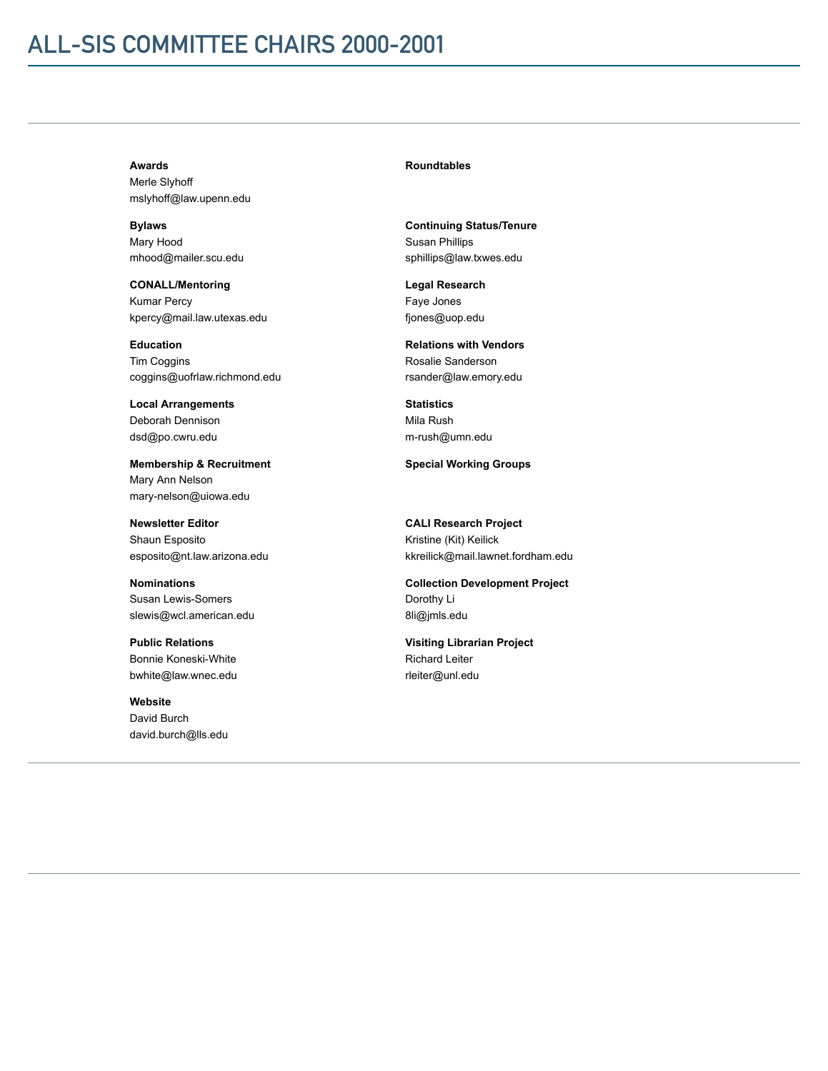# ALL-SIS COMMITTEE CHAIRS 2000-2001

### Awards

Merle Slyhoff mslyhoff@law.upenn.edu

Bylaws Mary Hood mhood@mailer.scu.edu

CONALL/Mentoring Kumar Percy kpercy@mail.law.utexas.edu

Education **Tim Coggins** coggins@uofrlaw.richmond.edu

Local Arrangements Deborah Dennison dsd@po.cwru.edu

Membership & Recruitment Mary Ann Nelson mary-nelson@uiowa.edu

Newsletter Editor Shaun Esposito esposito@nt.law.arizona.edu

Nominations Susan Lewis-Somers slewis@wcl.american.edu

Public Relations Bonnie Koneski-White bwhite@law.wnec.edu

Website David Burch david.burch@lls.edu

### Roundtables

Continuing Status/Tenure Susan Phillips sphillips@law.txwes.edu

Legal Research Faye Jones fjones@uop.edu

Relations with Vendors Rosalie Sanderson rsander@law.emory.edu

**Statistics** Mila Rush m-rush@umn.edu

Special Working Groups

CALI Research Project Kristine (Kit) Keilick kkreilick@mail.lawnet.fordham.edu

Collection Development Project Dorothy Li 8li@jmls.edu

Visiting Librarian Project Richard Leiter rleiter@unl.edu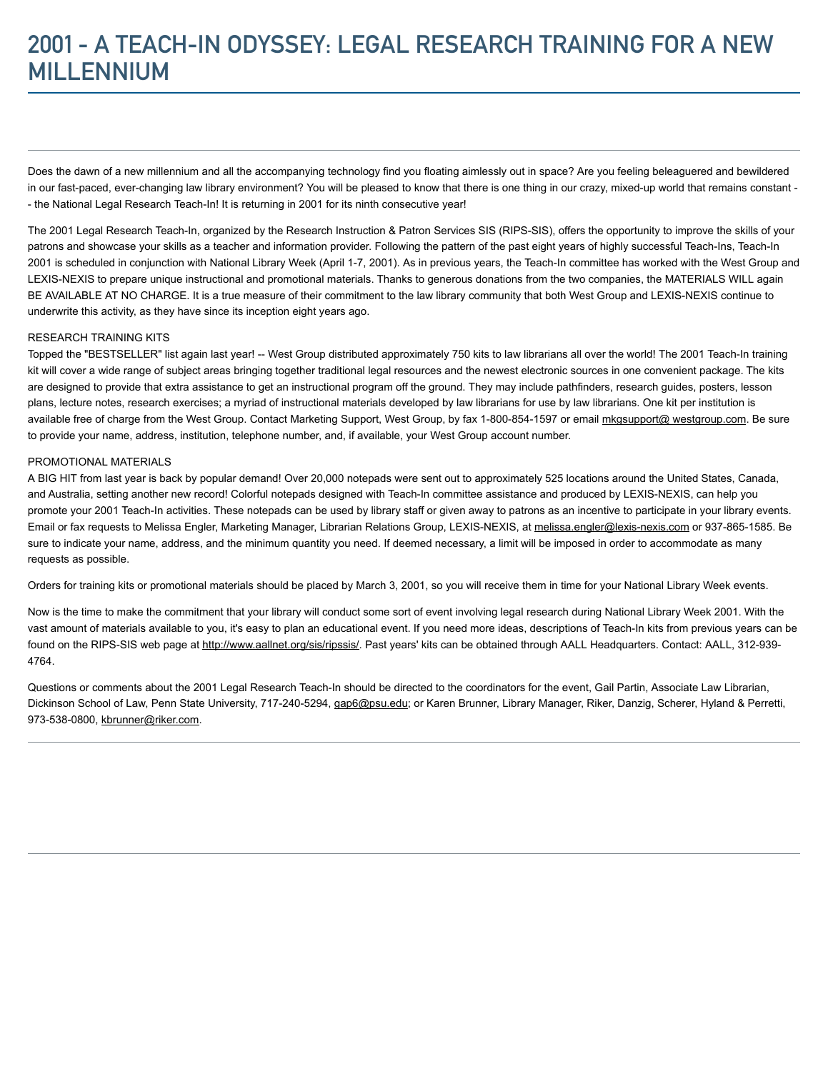# 2001 - A TEACH-IN ODYSSEY: LEGAL RESEARCH TRAINING FOR A NEW **MILLENNIUM**

Does the dawn of a new millennium and all the accompanying technology find you floating aimlessly out in space? Are you feeling beleaguered and bewildered in our fast-paced, ever-changing law library environment? You will be pleased to know that there is one thing in our crazy, mixed-up world that remains constant -- the National Legal Research Teach-In! It is returning in 2001 for its ninth consecutive year!

The 2001 Legal Research Teach-In, organized by the Research Instruction & Patron Services SIS (RIPS-SIS), offers the opportunity to improve the skills of your patrons and showcase your skills as a teacher and information provider. Following the pattern of the past eight years of highly successful Teach-Ins, Teach-In 2001 is scheduled in conjunction with National Library Week (April 1-7, 2001). As in previous years, the Teach-In committee has worked with the West Group and LEXIS-NEXIS to prepare unique instructional and promotional materials. Thanks to generous donations from the two companies, the MATERIALS WILL again BE AVAILABLE AT NO CHARGE. It is a true measure of their commitment to the law library community that both West Group and LEXIS-NEXIS continue to underwrite this activity, as they have since its inception eight years ago.

### RESEARCH TRAINING KITS

Topped the "BESTSELLER" list again last year! -- West Group distributed approximately 750 kits to law librarians all over the world! The 2001 Teach-In training kit will cover a wide range of subject areas bringing together traditional legal resources and the newest electronic sources in one convenient package. The kits are designed to provide that extra assistance to get an instructional program off the ground. They may include pathfinders, research guides, posters, lesson plans, lecture notes, research exercises; a myriad of instructional materials developed by law librarians for use by law librarians. One kit per institution is available free of charge from the West Group. Contact Marketing Support, West Group, by fax 1-800-854-1597 or email [mkgsupport@ westgroup.com.](mailto:mkgsupport@%20westgroup.com) Be sure to provide your name, address, institution, telephone number, and, if available, your West Group account number.

#### PROMOTIONAL MATERIALS

A BIG HIT from last year is back by popular demand! Over 20,000 notepads were sent out to approximately 525 locations around the United States, Canada, and Australia, setting another new record! Colorful notepads designed with Teach-In committee assistance and produced by LEXIS-NEXIS, can help you promote your 2001 Teach-In activities. These notepads can be used by library staff or given away to patrons as an incentive to participate in your library events. Email or fax requests to Melissa Engler, Marketing Manager, Librarian Relations Group, LEXIS-NEXIS, at [melissa.engler@lexis-nexis.com](mailto:melissa.engler@lexis-nexis.com) or 937-865-1585. Be sure to indicate your name, address, and the minimum quantity you need. If deemed necessary, a limit will be imposed in order to accommodate as many requests as possible.

Orders for training kits or promotional materials should be placed by March 3, 2001, so you will receive them in time for your National Library Week events.

Now is the time to make the commitment that your library will conduct some sort of event involving legal research during National Library Week 2001. With the vast amount of materials available to you, it's easy to plan an educational event. If you need more ideas, descriptions of Teach-In kits from previous years can be found on the RIPS-SIS web page at [http://www.aallnet.org/sis/ripssis/.](http://www.aallnet.org/sis/ripssis/) Past years' kits can be obtained through AALL Headquarters. Contact: AALL, 312-939-4764.

Questions or comments about the 2001 Legal Research Teach-In should be directed to the coordinators for the event, Gail Partin, Associate Law Librarian, Dickinson School of Law, Penn State University, 717-240-5294, [gap6@psu.edu](mailto:gap6@psu.edu); or Karen Brunner, Library Manager, Riker, Danzig, Scherer, Hyland & Perretti, 973-538-0800, [kbrunner@riker.com.](mailto:kbrunner@riker.com)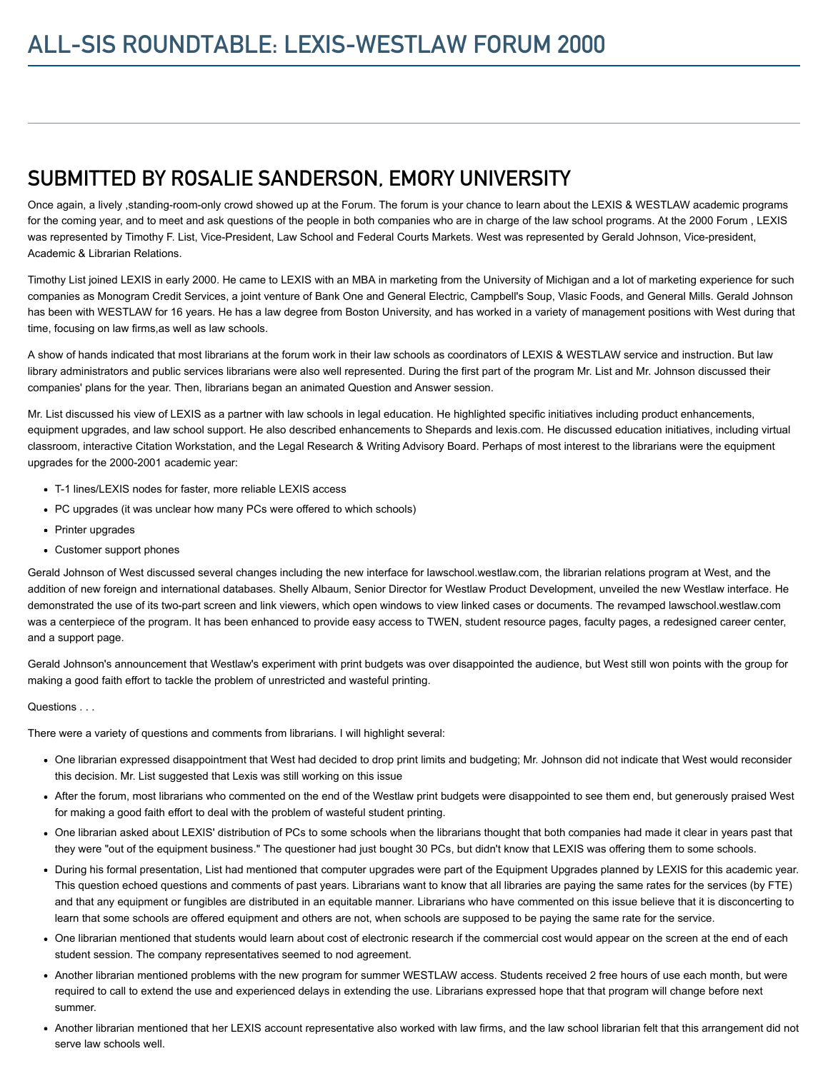### SUBMITTED BY ROSALIE SANDERSON, EMORY UNIVERSITY

Once again, a lively ,standing-room-only crowd showed up at the Forum. The forum is your chance to learn about the LEXIS & WESTLAW academic programs for the coming year, and to meet and ask questions of the people in both companies who are in charge of the law school programs. At the 2000 Forum , LEXIS was represented by Timothy F. List, Vice-President, Law School and Federal Courts Markets. West was represented by Gerald Johnson, Vice-president, Academic & Librarian Relations.

Timothy List joined LEXIS in early 2000. He came to LEXIS with an MBA in marketing from the University of Michigan and a lot of marketing experience for such companies as Monogram Credit Services, a joint venture of Bank One and General Electric, Campbell's Soup, Vlasic Foods, and General Mills. Gerald Johnson has been with WESTLAW for 16 years. He has a law degree from Boston University, and has worked in a variety of management positions with West during that time, focusing on law firms,as well as law schools.

A show of hands indicated that most librarians at the forum work in their law schools as coordinators of LEXIS & WESTLAW service and instruction. But law library administrators and public services librarians were also well represented. During the first part of the program Mr. List and Mr. Johnson discussed their companies' plans for the year. Then, librarians began an animated Question and Answer session.

Mr. List discussed his view of LEXIS as a partner with law schools in legal education. He highlighted specific initiatives including product enhancements, equipment upgrades, and law school support. He also described enhancements to Shepards and lexis.com. He discussed education initiatives, including virtual classroom, interactive Citation Workstation, and the Legal Research & Writing Advisory Board. Perhaps of most interest to the librarians were the equipment upgrades for the 2000-2001 academic year:

- T-1 lines/LEXIS nodes for faster, more reliable LEXIS access
- PC upgrades (it was unclear how many PCs were offered to which schools)
- Printer upgrades
- Customer support phones

Gerald Johnson of West discussed several changes including the new interface for lawschool.westlaw.com, the librarian relations program at West, and the addition of new foreign and international databases. Shelly Albaum, Senior Director for Westlaw Product Development, unveiled the new Westlaw interface. He demonstrated the use of its two-part screen and link viewers, which open windows to view linked cases or documents. The revamped lawschool.westlaw.com was a centerpiece of the program. It has been enhanced to provide easy access to TWEN, student resource pages, faculty pages, a redesigned career center, and a support page.

Gerald Johnson's announcement that Westlaw's experiment with print budgets was over disappointed the audience, but West still won points with the group for making a good faith effort to tackle the problem of unrestricted and wasteful printing.

### Questions . . .

There were a variety of questions and comments from librarians. I will highlight several:

- One librarian expressed disappointment that West had decided to drop print limits and budgeting; Mr. Johnson did not indicate that West would reconsider this decision. Mr. List suggested that Lexis was still working on this issue
- After the forum, most librarians who commented on the end of the Westlaw print budgets were disappointed to see them end, but generously praised West for making a good faith effort to deal with the problem of wasteful student printing.
- One librarian asked about LEXIS' distribution of PCs to some schools when the librarians thought that both companies had made it clear in years past that they were "out of the equipment business." The questioner had just bought 30 PCs, but didn't know that LEXIS was offering them to some schools.
- During his formal presentation, List had mentioned that computer upgrades were part of the Equipment Upgrades planned by LEXIS for this academic year. This question echoed questions and comments of past years. Librarians want to know that all libraries are paying the same rates for the services (by FTE) and that any equipment or fungibles are distributed in an equitable manner. Librarians who have commented on this issue believe that it is disconcerting to learn that some schools are offered equipment and others are not, when schools are supposed to be paying the same rate for the service.
- One librarian mentioned that students would learn about cost of electronic research if the commercial cost would appear on the screen at the end of each student session. The company representatives seemed to nod agreement.
- Another librarian mentioned problems with the new program for summer WESTLAW access. Students received 2 free hours of use each month, but were required to call to extend the use and experienced delays in extending the use. Librarians expressed hope that that program will change before next summer.
- Another librarian mentioned that her LEXIS account representative also worked with law firms, and the law school librarian felt that this arrangement did not serve law schools well.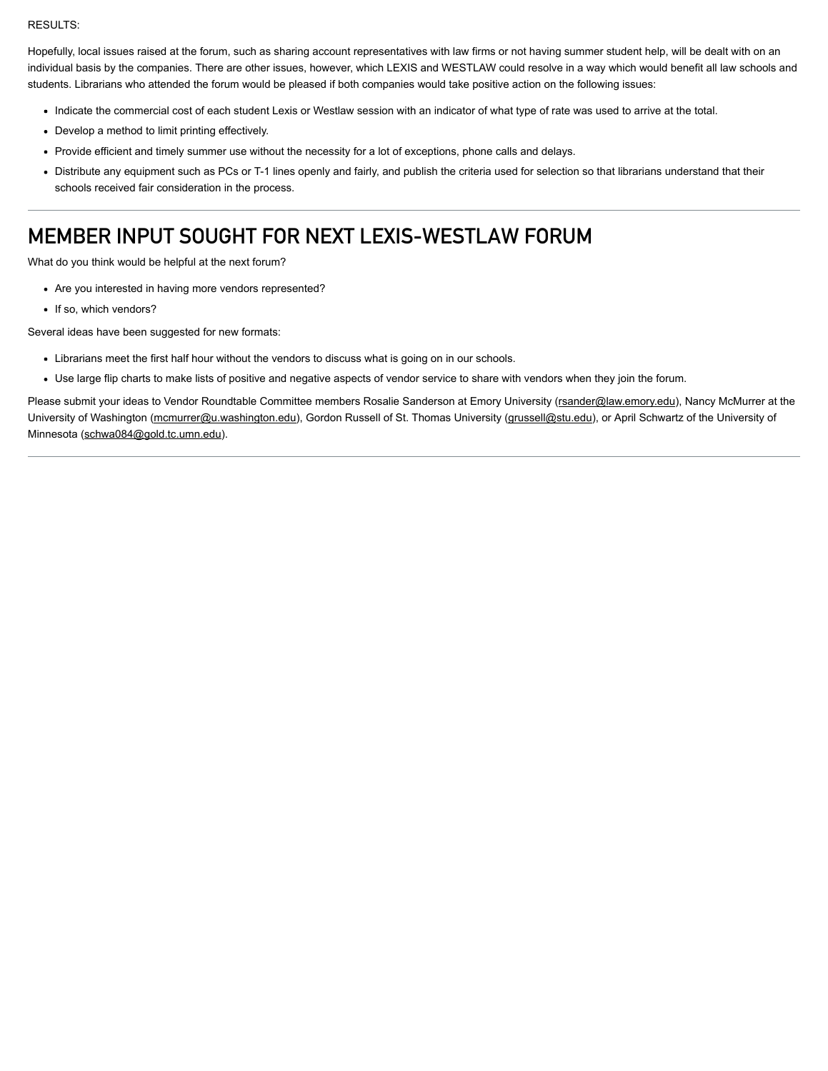#### RESULTS:

Hopefully, local issues raised at the forum, such as sharing account representatives with law firms or not having summer student help, will be dealt with on an individual basis by the companies. There are other issues, however, which LEXIS and WESTLAW could resolve in a way which would benefit all law schools and students. Librarians who attended the forum would be pleased if both companies would take positive action on the following issues:

- Indicate the commercial cost of each student Lexis or Westlaw session with an indicator of what type of rate was used to arrive at the total.
- Develop a method to limit printing effectively.
- Provide efficient and timely summer use without the necessity for a lot of exceptions, phone calls and delays.
- Distribute any equipment such as PCs or T-1 lines openly and fairly, and publish the criteria used for selection so that librarians understand that their schools received fair consideration in the process.

## MEMBER INPUT SOUGHT FOR NEXT LEXIS-WESTLAW FORUM

What do you think would be helpful at the next forum?

- Are you interested in having more vendors represented?
- If so, which vendors?

Several ideas have been suggested for new formats:

- Librarians meet the first half hour without the vendors to discuss what is going on in our schools.
- Use large flip charts to make lists of positive and negative aspects of vendor service to share with vendors when they join the forum.

Please submit your ideas to Vendor Roundtable Committee members Rosalie Sanderson at Emory University [\(rsander@law.emory.edu](mailto:rsander@law.emory.edu)), Nancy McMurrer at the University of Washington ([mcmurrer@u.washington.edu](mailto:mcmurrer@u.washington.edu)), Gordon Russell of St. Thomas University ([grussell@stu.edu](mailto:grussell@stu.edu)), or April Schwartz of the University of Minnesota [\(schwa084@gold.tc.umn.edu\)](mailto:schwa084@gold.tc.umn.edu).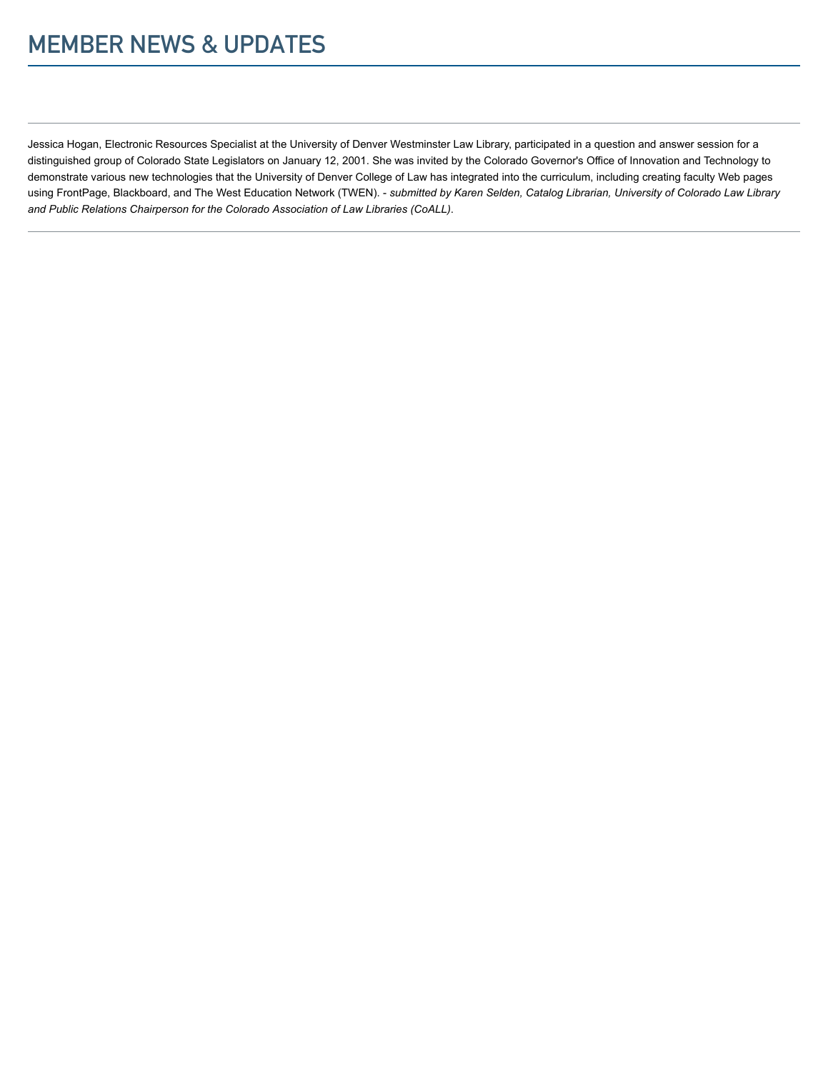# MEMBER NEWS & UPDATES

Jessica Hogan, Electronic Resources Specialist at the University of Denver Westminster Law Library, participated in a question and answer session for a distinguished group of Colorado State Legislators on January 12, 2001. She was invited by the Colorado Governor's Office of Innovation and Technology to demonstrate various new technologies that the University of Denver College of Law has integrated into the curriculum, including creating faculty Web pages using FrontPage, Blackboard, and The West Education Network (TWEN). - submitted by Karen Selden, Catalog Librarian, University of Colorado Law Library and Public Relations Chairperson for the Colorado Association of Law Libraries (CoALL).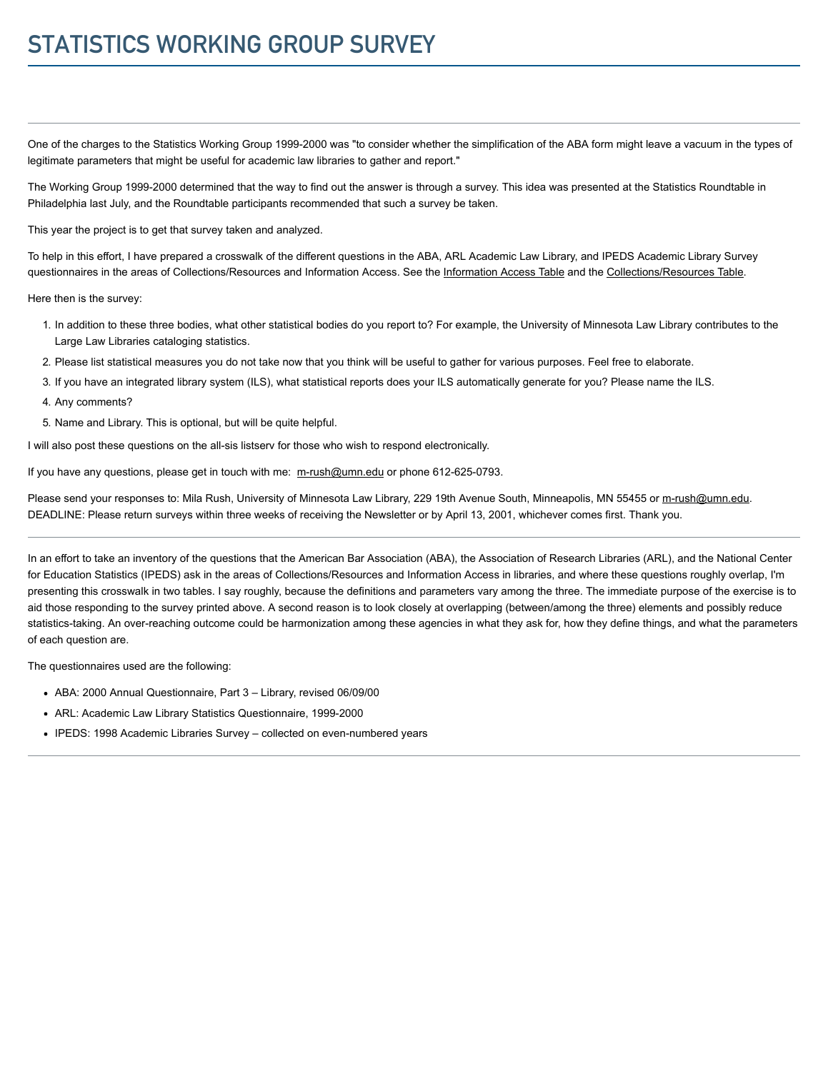# STATISTICS WORKING GROUP SURVEY

One of the charges to the Statistics Working Group 1999-2000 was "to consider whether the simplification of the ABA form might leave a vacuum in the types of legitimate parameters that might be useful for academic law libraries to gather and report."

The Working Group 1999-2000 determined that the way to find out the answer is through a survey. This idea was presented at the Statistics Roundtable in Philadelphia last July, and the Roundtable participants recommended that such a survey be taken.

This year the project is to get that survey taken and analyzed.

To help in this effort, I have prepared a crosswalk of the different questions in the ABA, ARL Academic Law Library, and IPEDS Academic Library Survey questionnaires in the areas of Collections/Resources and Information Access. See the [Information Access Table](http://www.aallnet.org/gm-node/33640.aspx) and the [Collections/Resources Table.](http://www.aallnet.org/gm-node/33638.aspx)

Here then is the survey:

- 1. In addition to these three bodies, what other statistical bodies do you report to? For example, the University of Minnesota Law Library contributes to the Large Law Libraries cataloging statistics.
- 2. Please list statistical measures you do not take now that you think will be useful to gather for various purposes. Feel free to elaborate.
- 3. If you have an integrated library system (ILS), what statistical reports does your ILS automatically generate for you? Please name the ILS.
- 4. Any comments?
- 5. Name and Library. This is optional, but will be quite helpful.

I will also post these questions on the all-sis listserv for those who wish to respond electronically.

If you have any questions, please get in touch with me: [m-rush@umn.edu](mailto:m-rush@umn.edu) or phone 612-625-0793.

Please send your responses to: Mila Rush, University of Minnesota Law Library, 229 19th Avenue South, Minneapolis, MN 55455 or [m-rush@umn.edu](mailto:m-rush@umn.edu). DEADLINE: Please return surveys within three weeks of receiving the Newsletter or by April 13, 2001, whichever comes first. Thank you.

In an effort to take an inventory of the questions that the American Bar Association (ABA), the Association of Research Libraries (ARL), and the National Center for Education Statistics (IPEDS) ask in the areas of Collections/Resources and Information Access in libraries, and where these questions roughly overlap, I'm presenting this crosswalk in two tables. I say roughly, because the definitions and parameters vary among the three. The immediate purpose of the exercise is to aid those responding to the survey printed above. A second reason is to look closely at overlapping (between/among the three) elements and possibly reduce statistics-taking. An over-reaching outcome could be harmonization among these agencies in what they ask for, how they define things, and what the parameters of each question are.

The questionnaires used are the following:

- ABA: 2000 Annual Questionnaire, Part 3 Library, revised 06/09/00
- ARL: Academic Law Library Statistics Questionnaire, 1999-2000
- IPEDS: 1998 Academic Libraries Survey collected on even-numbered years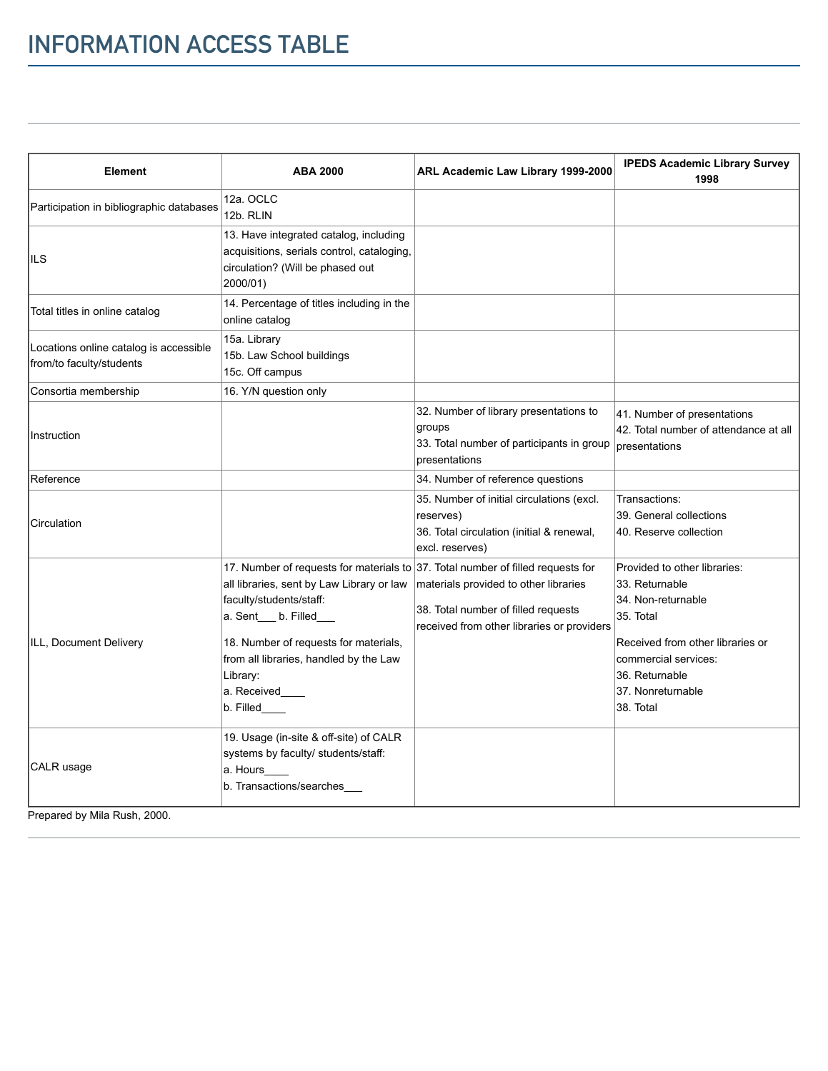| <b>Element</b>                                                     | <b>ABA 2000</b>                                                                                                                                                                                                                                                                                               | ARL Academic Law Library 1999-2000                                                                                         | <b>IPEDS Academic Library Survey</b><br>1998                                                                                                                                                      |
|--------------------------------------------------------------------|---------------------------------------------------------------------------------------------------------------------------------------------------------------------------------------------------------------------------------------------------------------------------------------------------------------|----------------------------------------------------------------------------------------------------------------------------|---------------------------------------------------------------------------------------------------------------------------------------------------------------------------------------------------|
| Participation in bibliographic databases                           | 12a. OCLC<br>12b. RLIN                                                                                                                                                                                                                                                                                        |                                                                                                                            |                                                                                                                                                                                                   |
| IILS                                                               | 13. Have integrated catalog, including<br>acquisitions, serials control, cataloging,<br>circulation? (Will be phased out<br>2000/01)                                                                                                                                                                          |                                                                                                                            |                                                                                                                                                                                                   |
| Total titles in online catalog                                     | 14. Percentage of titles including in the<br>online catalog                                                                                                                                                                                                                                                   |                                                                                                                            |                                                                                                                                                                                                   |
| Locations online catalog is accessible<br>from/to faculty/students | 15a. Library<br>15b. Law School buildings<br>15c. Off campus                                                                                                                                                                                                                                                  |                                                                                                                            |                                                                                                                                                                                                   |
| Consortia membership                                               | 16. Y/N question only                                                                                                                                                                                                                                                                                         |                                                                                                                            |                                                                                                                                                                                                   |
| Instruction                                                        |                                                                                                                                                                                                                                                                                                               | 32. Number of library presentations to<br>groups<br>33. Total number of participants in group<br>presentations             | 41. Number of presentations<br>42. Total number of attendance at all<br>presentations                                                                                                             |
| Reference                                                          |                                                                                                                                                                                                                                                                                                               | 34. Number of reference questions                                                                                          |                                                                                                                                                                                                   |
| Circulation                                                        |                                                                                                                                                                                                                                                                                                               | 35. Number of initial circulations (excl.<br>reserves)<br>36. Total circulation (initial & renewal,<br>excl. reserves)     | Transactions:<br>39. General collections<br>40. Reserve collection                                                                                                                                |
| ILL, Document Delivery                                             | 17. Number of requests for materials to 37. Total number of filled requests for<br>all libraries, sent by Law Library or law<br>faculty/students/staff:<br>a. Sent___ b. Filled___<br>18. Number of requests for materials,<br>from all libraries, handled by the Law<br>Library:<br>a. Received<br>b. Filled | materials provided to other libraries<br>38. Total number of filled requests<br>received from other libraries or providers | Provided to other libraries:<br>33. Returnable<br>34. Non-returnable<br>35. Total<br>Received from other libraries or<br>commercial services:<br>36. Returnable<br>37. Nonreturnable<br>38. Total |
| CALR usage                                                         | 19. Usage (in-site & off-site) of CALR<br>systems by faculty/ students/staff:<br>a. Hours<br>b. Transactions/searches                                                                                                                                                                                         |                                                                                                                            |                                                                                                                                                                                                   |

Prepared by Mila Rush, 2000.